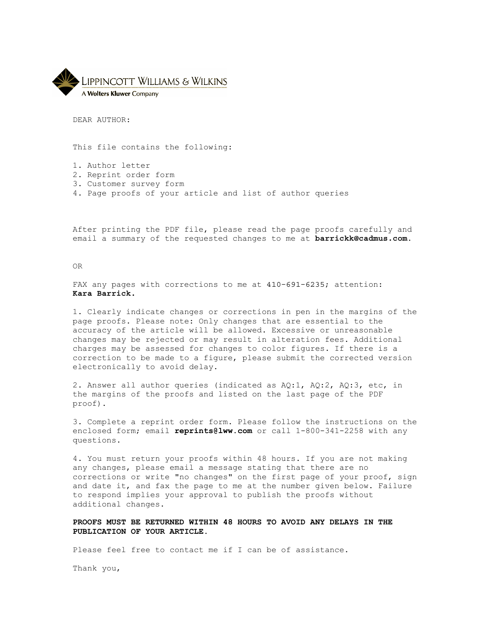

DEAR AUTHOR:

This file contains the following:

- 1. Author letter
- 2. Reprint order form
- 3. Customer survey form
- 4. Page proofs of your article and list of author queries

After printing the PDF file, please read the page proofs carefully and email a summary of the requested changes to me at **barrickk@cadmus.com.**

OR

FAX any pages with corrections to me at 410-691-6235; attention: **Kara Barrick.**

1. Clearly indicate changes or corrections in pen in the margins of the page proofs. Please note: Only changes that are essential to the accuracy of the article will be allowed. Excessive or unreasonable changes may be rejected or may result in alteration fees. Additional charges may be assessed for changes to color figures. If there is a correction to be made to a figure, please submit the corrected version electronically to avoid delay.

2. Answer all author queries (indicated as AQ:1, AQ:2, AQ:3, etc, in the margins of the proofs and listed on the last page of the PDF proof).

3. Complete a reprint order form. Please follow the instructions on the enclosed form; email **reprints@lww.com** or call 1-800-341-2258 with any questions.

4. You must return your proofs within 48 hours. If you are not making any changes, please email a message stating that there are no corrections or write "no changes" on the first page of your proof, sign and date it, and fax the page to me at the number given below. Failure to respond implies your approval to publish the proofs without additional changes.

**PROOFS MUST BE RETURNED WITHIN 48 HOURS TO AVOID ANY DELAYS IN THE PUBLICATION OF YOUR ARTICLE.**

Please feel free to contact me if I can be of assistance.

Thank you,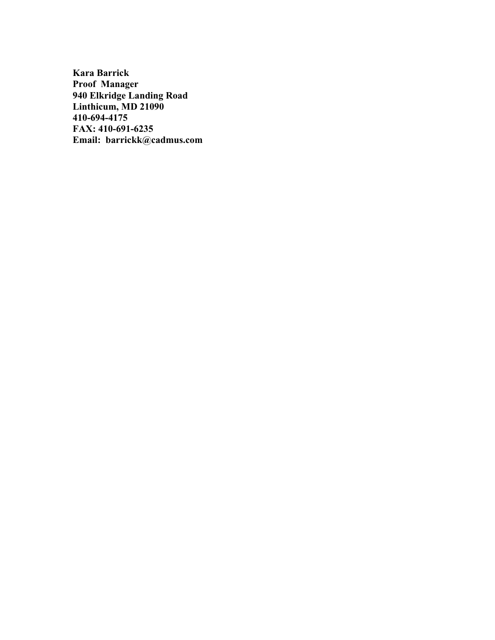**Kara Barrick Proof Manager 940 Elkridge Landing Road Linthicum, MD 21090 410-694-4175 FAX: 410-691-6235 Email: barrickk@cadmus.com**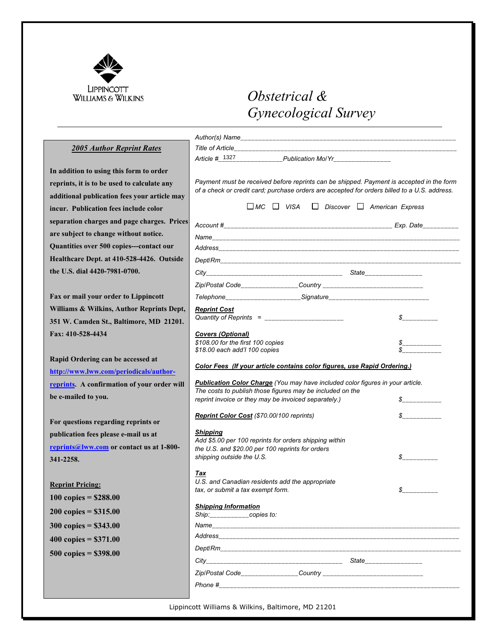

## *Obstetrical & Gynecological Survey*

### *2005 Author Reprint Rates*

**In addition to using this form to order reprints, it is to be used to calculate any additional publication fees your article may incur. Publication fees include color separation charges and page charges. Prices are subject to change without notice. Quantities over 500 copies---contact our Healthcare Dept. at 410-528-4426. Outside the U.S. dial 4420-7981-0700.**

**Fax or mail your order to Lippincott Williams & Wilkins, Author Reprints Dept, 351 W. Camden St., Baltimore, MD 21201. Fax: 410-528-4434**

**Rapid Ordering can be accessed at http://www.lww.com/periodicals/authorreprints. A confirmation of your order will be e-mailed to you.**

**For questions regarding reprints or publication fees please e-mail us at reprints@lww.com or contact us at 1-800- 341-2258.**

#### **Reprint Pricing:**

**100 copies = \$288.00 200 copies = \$315.00 300 copies = \$343.00 400 copies = \$371.00 500 copies = \$398.00**

|                                                                                                  | Article #_1327_______________Publication MolYr________________                                                                                                                                                                                                        |                             |
|--------------------------------------------------------------------------------------------------|-----------------------------------------------------------------------------------------------------------------------------------------------------------------------------------------------------------------------------------------------------------------------|-----------------------------|
|                                                                                                  | Payment must be received before reprints can be shipped. Payment is accepted in the form<br>of a check or credit card; purchase orders are accepted for orders billed to a U.S. address.<br>$\square$ MC $\square$ VISA $\square$ Discover $\square$ American Express |                             |
|                                                                                                  |                                                                                                                                                                                                                                                                       |                             |
|                                                                                                  |                                                                                                                                                                                                                                                                       |                             |
|                                                                                                  |                                                                                                                                                                                                                                                                       |                             |
|                                                                                                  |                                                                                                                                                                                                                                                                       |                             |
|                                                                                                  |                                                                                                                                                                                                                                                                       |                             |
|                                                                                                  |                                                                                                                                                                                                                                                                       |                             |
|                                                                                                  |                                                                                                                                                                                                                                                                       |                             |
| <u>Reprint Cost</u>                                                                              | Quantity of Reprints = _______________________                                                                                                                                                                                                                        | $S$ <sub>____________</sub> |
| \$108.00 for the first 100 copies<br>\$18.00 each add'l 100 copies                               | Color Fees (If your article contains color figures, use Rapid Ordering.)                                                                                                                                                                                              |                             |
|                                                                                                  |                                                                                                                                                                                                                                                                       |                             |
|                                                                                                  | <b>Publication Color Charge</b> (You may have included color figures in your article.<br>The costs to publish those figures may be included on the<br>reprint invoice or they may be invoiced separately.)                                                            | $S$ ____________            |
| Reprint Color Cost (\$70.00/100 reprints)                                                        |                                                                                                                                                                                                                                                                       | $S$ ____________            |
| <b>Shipping</b><br>the U.S. and \$20.00 per 100 reprints for orders<br>shipping outside the U.S. | Add \$5.00 per 100 reprints for orders shipping within                                                                                                                                                                                                                | $\frac{\sqrt{2}}{2}$        |
| Tax<br>U.S. and Canadian residents add the appropriate<br>tax, or submit a tax exempt form.      |                                                                                                                                                                                                                                                                       | $S$ ___________             |
| <b>Shipping Information</b><br>Ship:___________copies to:                                        |                                                                                                                                                                                                                                                                       |                             |
|                                                                                                  |                                                                                                                                                                                                                                                                       |                             |
|                                                                                                  |                                                                                                                                                                                                                                                                       |                             |
|                                                                                                  |                                                                                                                                                                                                                                                                       |                             |
|                                                                                                  |                                                                                                                                                                                                                                                                       | State_________________      |
|                                                                                                  |                                                                                                                                                                                                                                                                       |                             |

Lippincott Williams & Wilkins, Baltimore, MD 21201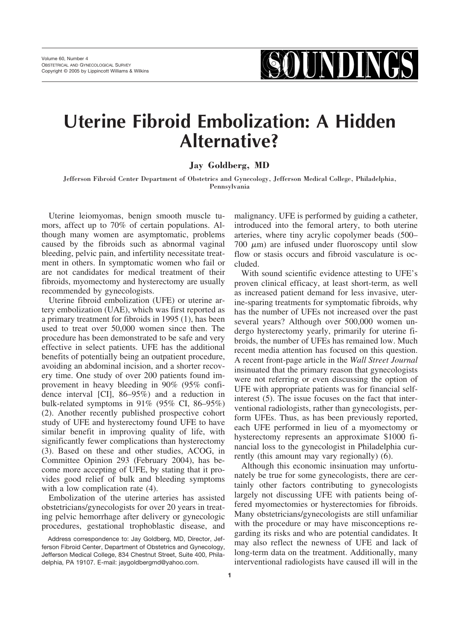**SOUNDING** 

# **Uterine Fibroid Embolization: A Hidden Alternative?**

#### **Jay Goldberg, MD**

Jefferson Fibroid Center Department of Obstetrics and Gynecology, Jefferson Medical College, Philadelphia, Pennsylvania

Uterine leiomyomas, benign smooth muscle tumors, affect up to 70% of certain populations. Although many women are asymptomatic, problems caused by the fibroids such as abnormal vaginal bleeding, pelvic pain, and infertility necessitate treatment in others. In symptomatic women who fail or are not candidates for medical treatment of their fibroids, myomectomy and hysterectomy are usually recommended by gynecologists.

Uterine fibroid embolization (UFE) or uterine artery embolization (UAE), which was first reported as a primary treatment for fibroids in 1995 (1), has been used to treat over 50,000 women since then. The procedure has been demonstrated to be safe and very effective in select patients. UFE has the additional benefits of potentially being an outpatient procedure, avoiding an abdominal incision, and a shorter recovery time. One study of over 200 patients found improvement in heavy bleeding in 90% (95% confidence interval [CI], 86–95%) and a reduction in bulk-related symptoms in 91% (95% CI, 86–95%) (2). Another recently published prospective cohort study of UFE and hysterectomy found UFE to have similar benefit in improving quality of life, with significantly fewer complications than hysterectomy (3). Based on these and other studies, ACOG, in Committee Opinion 293 (February 2004), has become more accepting of UFE, by stating that it provides good relief of bulk and bleeding symptoms with a low complication rate  $(4)$ .

Embolization of the uterine arteries has assisted obstetricians/gynecologists for over 20 years in treating pelvic hemorrhage after delivery or gynecologic procedures, gestational trophoblastic disease, and malignancy. UFE is performed by guiding a catheter, introduced into the femoral artery, to both uterine arteries, where tiny acrylic copolymer beads (500–  $700 \mu m$ ) are infused under fluoroscopy until slow flow or stasis occurs and fibroid vasculature is occluded.

With sound scientific evidence attesting to UFE's proven clinical efficacy, at least short-term, as well as increased patient demand for less invasive, uterine-sparing treatments for symptomatic fibroids, why has the number of UFEs not increased over the past several years? Although over 500,000 women undergo hysterectomy yearly, primarily for uterine fibroids, the number of UFEs has remained low. Much recent media attention has focused on this question. A recent front-page article in the *Wall Street Journal* insinuated that the primary reason that gynecologists were not referring or even discussing the option of UFE with appropriate patients was for financial selfinterest (5). The issue focuses on the fact that interventional radiologists, rather than gynecologists, perform UFEs. Thus, as has been previously reported, each UFE performed in lieu of a myomectomy or hysterectomy represents an approximate \$1000 financial loss to the gynecologist in Philadelphia currently (this amount may vary regionally) (6).

Although this economic insinuation may unfortunately be true for some gynecologists, there are certainly other factors contributing to gynecologists largely not discussing UFE with patients being offered myomectomies or hysterectomies for fibroids. Many obstetricians/gynecologists are still unfamiliar with the procedure or may have misconceptions regarding its risks and who are potential candidates. It may also reflect the newness of UFE and lack of long-term data on the treatment. Additionally, many interventional radiologists have caused ill will in the

Address correspondence to: Jay Goldberg, MD, Director, Jefferson Fibroid Center, Department of Obstetrics and Gynecology, Jefferson Medical College, 834 Chestnut Street, Suite 400, Philadelphia, PA 19107. E-mail: jaygoldbergmd@yahoo.com.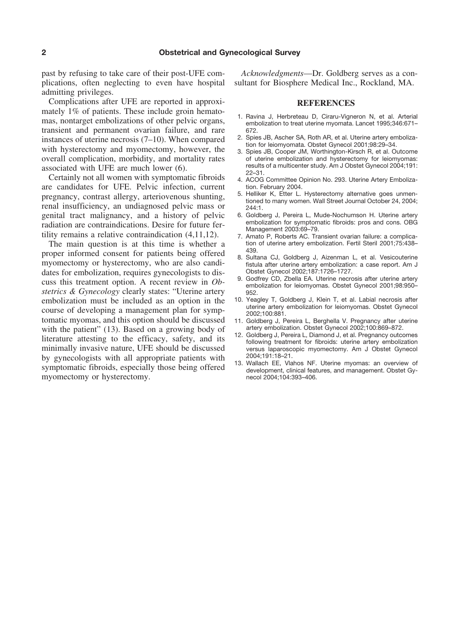past by refusing to take care of their post-UFE complications, often neglecting to even have hospital admitting privileges.

Complications after UFE are reported in approximately 1% of patients. These include groin hematomas, nontarget embolizations of other pelvic organs, transient and permanent ovarian failure, and rare instances of uterine necrosis (7–10). When compared with hysterectomy and myomectomy, however, the overall complication, morbidity, and mortality rates associated with UFE are much lower (6).

Certainly not all women with symptomatic fibroids are candidates for UFE. Pelvic infection, current pregnancy, contrast allergy, arteriovenous shunting, renal insufficiency, an undiagnosed pelvic mass or genital tract malignancy, and a history of pelvic radiation are contraindications. Desire for future fertility remains a relative contraindication (4,11,12).

The main question is at this time is whether a proper informed consent for patients being offered myomectomy or hysterectomy, who are also candidates for embolization, requires gynecologists to discuss this treatment option. A recent review in *Obstetrics & Gynecology* clearly states: "Uterine artery embolization must be included as an option in the course of developing a management plan for symptomatic myomas, and this option should be discussed with the patient" (13). Based on a growing body of literature attesting to the efficacy, safety, and its minimally invasive nature, UFE should be discussed by gynecologists with all appropriate patients with symptomatic fibroids, especially those being offered myomectomy or hysterectomy.

*Acknowledgments*—Dr. Goldberg serves as a consultant for Biosphere Medical Inc., Rockland, MA.

#### **REFERENCES**

- 1. Ravina J, Herbreteau D, Ciraru-Vigneron N, et al. Arterial embolization to treat uterine myomata. Lancet 1995;346:671– 672.
- 2. Spies JB, Ascher SA, Roth AR, et al. Uterine artery embolization for leiomyomata. Obstet Gynecol 2001;98:29–34.
- 3. Spies JB, Cooper JM, Worthington-Kirsch R, et al. Outcome of uterine embolization and hysterectomy for leiomyomas: results of a multicenter study. Am J Obstet Gynecol 2004;191: 22–31.
- 4. ACOG Committee Opinion No. 293. Uterine Artery Embolization. February 2004.
- 5. Helliker K, Etter L. Hysterectomy alternative goes unmentioned to many women. Wall Street Journal October 24, 2004;  $244.1$
- 6. Goldberg J, Pereira L, Mude-Nochumson H. Uterine artery embolization for symptomatic fibroids: pros and cons. OBG Management 2003:69–79.
- 7. Amato P, Roberts AC. Transient ovarian failure: a complication of uterine artery embolization. Fertil Steril 2001;75:438– 439.
- 8. Sultana CJ, Goldberg J, Aizenman L, et al. Vesicouterine fistula after uterine artery embolization: a case report. Am J Obstet Gynecol 2002;187:1726–1727.
- 9. Godfrey CD, Zbella EA. Uterine necrosis after uterine artery embolization for leiomyomas. Obstet Gynecol 2001;98:950– 952.
- 10. Yeagley T, Goldberg J, Klein T, et al. Labial necrosis after uterine artery embolization for leiomyomas. Obstet Gynecol 2002;100:881.
- 11. Goldberg J, Pereira L, Berghella V. Pregnancy after uterine artery embolization. Obstet Gynecol 2002;100:869–872.
- 12. Goldberg J, Pereira L, Diamond J, et al. Pregnancy outcomes following treatment for fibroids: uterine artery embolization versus laparoscopic myomectomy. Am J Obstet Gynecol 2004;191:18–21.
- 13. Wallach EE, Vlahos NF. Uterine myomas: an overview of development, clinical features, and management. Obstet Gynecol 2004;104:393–406.